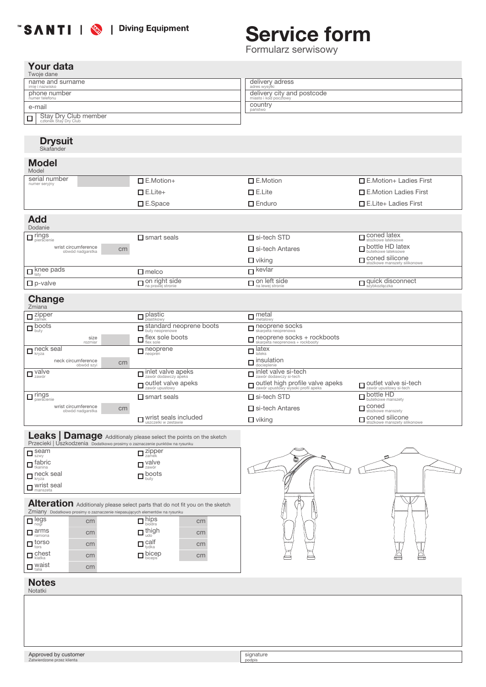# "SANTI | <a>>>>> | Diving Equipment

# Service form

Formularz serwisowy

### Your data

| Twoje dane                                              |                                                     |
|---------------------------------------------------------|-----------------------------------------------------|
| name and surname<br>imie i nazwisko                     | delivery adress<br>adres wysyłki                    |
| phone number<br>numer telefonu                          | delivery city and postcode<br>miasto i kod pocztowy |
| e-mail                                                  | COUNTY                                              |
| Stay Dry Club member<br>$\Box$<br>członek Stay Dry Club |                                                     |

# Drysuit Skafander

#### Model

| Model                                   |                       |                        |                                                         |
|-----------------------------------------|-----------------------|------------------------|---------------------------------------------------------|
| serial number<br>numer serviny          | $\Box$ E.Motion+      | $\square$ E.Motion     | $\Box$ E. Motion + Ladies First                         |
|                                         | $\Box$ E.Lite+        | $\square$ E.Lite       | □ E.Motion Ladies First                                 |
|                                         | $\square$ E.Space     | $\Box$ Enduro          | $\Box$ E.Lite+ Ladies First                             |
| <b>Add</b><br>Dodanie                   |                       |                        |                                                         |
| $\Box$ rings                            | $\square$ smart seals | $\square$ si-tech STD  | $\Box$ coned latex<br>stożkowe lateksowe                |
| wrist circumference<br>obwód nadgarstka | cm                    | $\Box$ si-tech Antares | $\Box$ bottle HD latex                                  |
|                                         |                       | $\Box$ viking          | <b>O</b> coned silicone<br>stożkowe manszety silikonowe |

 $\Box$  on left side

 $k$ evlar

#### Change

 $\Box$  p-valve

knee pads łaty

| $-1 - 1 - 9 - 1$<br>Zmiana                    |                                                             |                                                                                  |                                                       |
|-----------------------------------------------|-------------------------------------------------------------|----------------------------------------------------------------------------------|-------------------------------------------------------|
| $\Box$ zipper                                 | $\Box$ plastic                                              | $\Box$ metal                                                                     |                                                       |
| $\Box$ boots                                  | $\Box$ standard neoprene boots                              | $\Box$ neoprene socks<br>skarpeta neoprenowa                                     |                                                       |
| size<br>rozmiar                               | $\Box$ flex sole boots                                      | $\Box$ neoprene socks + rockboots<br>skarpeta neoprenowa + rockbooty             |                                                       |
| $\Box$ neck seal                              | $\Box$ neoprene                                             | $\Box$ latex                                                                     |                                                       |
| neck circumference<br>cm<br>obwód szyi        |                                                             | $\Box$ insulation                                                                |                                                       |
| $\Box$ yalve                                  | $\Box$ inlet valve apeks                                    | $\Box$ inlet valve si-tech<br>zawór dodawczy si-tech                             |                                                       |
|                                               | $\Box$ outlet valve apeks                                   | <b>In putilet high profile valve apeks</b><br>zawór upustowy wysoki profil apeks | $\Box$ outlet valve si-tech<br>zawór upustowy si-tech |
| $\Box$ rings                                  | $\Box$ smart seals                                          | $\Box$ si-tech STD                                                               | D bottle HD<br>butelkowe manszety                     |
| wrist circumference<br>cm<br>obwód nadgarstka |                                                             | $\Box$ si-tech Antares                                                           | Coned<br>stożkowe manszety                            |
|                                               | $\blacksquare$ wrist seals included<br>uszczelki w zestawie | $\Box$ viking                                                                    | $\Box$ coned silicone<br>stożkowe manszety silikonowe |

| Przecieki   Uszkodzenia Dodatkowo prosimy o zaznaczenie punktów na rysunku | Leaks   Damage Additionaly please select the points on the sketch |
|----------------------------------------------------------------------------|-------------------------------------------------------------------|
| $\Box$ seam<br>$s_{\text{ZWV}}$                                            | $\overline{\mathsf{L}}$ zipper                                    |
| $\Box$ fabric<br>tkanina                                                   | $\Box$ valve                                                      |
| $\Box$ neck seal                                                           | $\Box$ boots                                                      |
| $\Box$ wrist seal                                                          |                                                                   |

on right side na prawej stronie

 $\Box$  melco

# Alteration Additionaly please select parts that do not fit you on the sketch<br>Zmiany Dodatkowo prosimy o zaznaczenie niepasujących elementów na rysunku

| $\Box$ legs                               | cm | hips<br>Diodra                                                         | cm |
|-------------------------------------------|----|------------------------------------------------------------------------|----|
| $\Box$ arms                               | cm | $\Box$ thigh                                                           | cm |
| $\Box$ torso                              | cm | $\square$ calf                                                         | cm |
| $\Box$ $\Box$ $\Box$ $\Box$ $\Box$ $\Box$ | cm | $\mathbf{\mathsf{\Sigma}}_{\text{\tiny biceps}}^{\text{\tiny biceps}}$ | cm |
| $\Box$ waist                              | cm |                                                                        |    |



na lewej stronie quick disconnect szybkozłączka

#### Notes

Notatki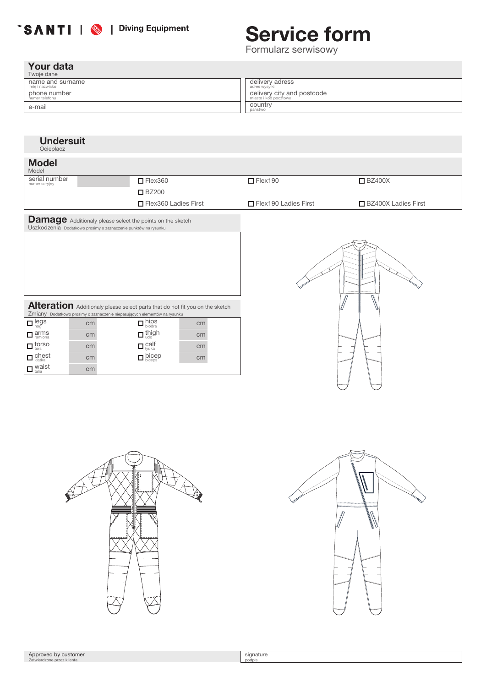## **SANTI | & | Diving Equipment**

# Service form

Formularz serwisowy

## Your data

waist talia cm

| Twoje dane       |                            |
|------------------|----------------------------|
| name and surname | delivery adress            |
| imie i nazwisko  | adres wysyłki              |
| phone number     | delivery city and postcode |
| numer telefonu   | miasto i kod pocztowy      |
| e-mail           | country<br>państwo         |

#### **Undersuit Ocieplacz**  $\Box$  Flex360  $\Box$  Flex190 ■BZ200 □ Flex360 Ladies First First Flex190 Ladies First serial number Serial numer research of the server of the server of the server of the server of the server of the SZ400X<br>numer serviny ■BZ400X Ladies First Model Model Damage Additionaly please select the points on the sketch<br>Uszkodzenia Dodatkowo prosimy o zaznaczenie punktów na rysunku cm cm cm cm cm cm cm hips biodra thigh udo calf łydka bicep biceps cm arms ramiona legs nogi torso tors chest klatka Alteration Additionaly please select parts that do not fit you on the sketch Zmiany Dodatkowo prosimy o zaznaczenie niepasujących elementów na rysunku